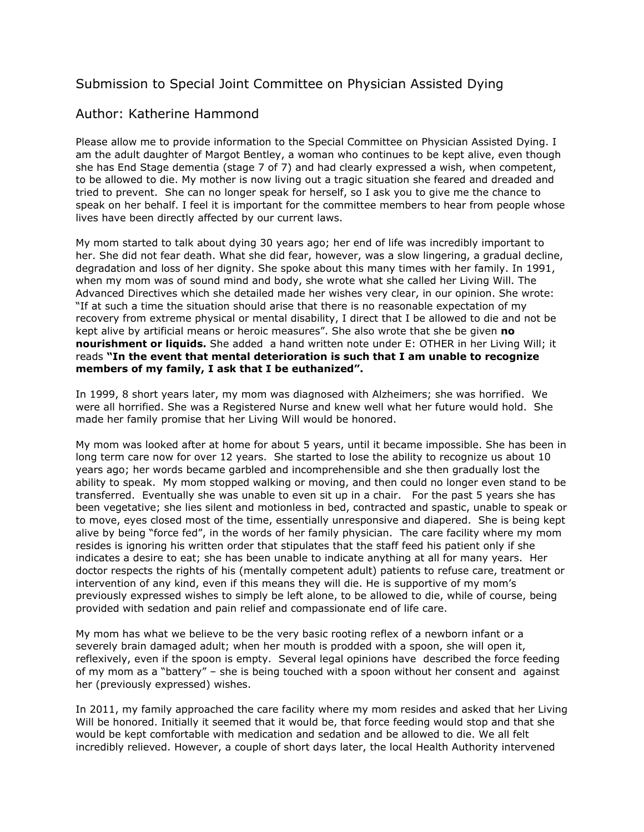## Submission to Special Joint Committee on Physician Assisted Dying

## Author: Katherine Hammond

Please allow me to provide information to the Special Committee on Physician Assisted Dying. I am the adult daughter of Margot Bentley, a woman who continues to be kept alive, even though she has End Stage dementia (stage 7 of 7) and had clearly expressed a wish, when competent, to be allowed to die. My mother is now living out a tragic situation she feared and dreaded and tried to prevent. She can no longer speak for herself, so I ask you to give me the chance to speak on her behalf. I feel it is important for the committee members to hear from people whose lives have been directly affected by our current laws.

My mom started to talk about dying 30 years ago; her end of life was incredibly important to her. She did not fear death. What she did fear, however, was a slow lingering, a gradual decline, degradation and loss of her dignity. She spoke about this many times with her family. In 1991, when my mom was of sound mind and body, she wrote what she called her Living Will. The Advanced Directives which she detailed made her wishes very clear, in our opinion. She wrote: "If at such a time the situation should arise that there is no reasonable expectation of my recovery from extreme physical or mental disability, I direct that I be allowed to die and not be kept alive by artificial means or heroic measures". She also wrote that she be given **no nourishment or liquids.** She added a hand written note under E: OTHER in her Living Will; it reads **"In the event that mental deterioration is such that I am unable to recognize members of my family, I ask that I be euthanized".**

In 1999, 8 short years later, my mom was diagnosed with Alzheimers; she was horrified. We were all horrified. She was a Registered Nurse and knew well what her future would hold. She made her family promise that her Living Will would be honored.

My mom was looked after at home for about 5 years, until it became impossible. She has been in long term care now for over 12 years. She started to lose the ability to recognize us about 10 years ago; her words became garbled and incomprehensible and she then gradually lost the ability to speak. My mom stopped walking or moving, and then could no longer even stand to be transferred. Eventually she was unable to even sit up in a chair. For the past 5 years she has been vegetative; she lies silent and motionless in bed, contracted and spastic, unable to speak or to move, eyes closed most of the time, essentially unresponsive and diapered. She is being kept alive by being "force fed", in the words of her family physician. The care facility where my mom resides is ignoring his written order that stipulates that the staff feed his patient only if she indicates a desire to eat; she has been unable to indicate anything at all for many years. Her doctor respects the rights of his (mentally competent adult) patients to refuse care, treatment or intervention of any kind, even if this means they will die. He is supportive of my mom's previously expressed wishes to simply be left alone, to be allowed to die, while of course, being provided with sedation and pain relief and compassionate end of life care.

My mom has what we believe to be the very basic rooting reflex of a newborn infant or a severely brain damaged adult; when her mouth is prodded with a spoon, she will open it, reflexively, even if the spoon is empty. Several legal opinions have described the force feeding of my mom as a "battery" – she is being touched with a spoon without her consent and against her (previously expressed) wishes.

In 2011, my family approached the care facility where my mom resides and asked that her Living Will be honored. Initially it seemed that it would be, that force feeding would stop and that she would be kept comfortable with medication and sedation and be allowed to die. We all felt incredibly relieved. However, a couple of short days later, the local Health Authority intervened